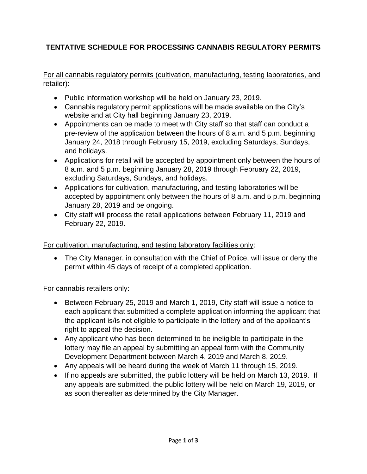# **TENTATIVE SCHEDULE FOR PROCESSING CANNABIS REGULATORY PERMITS**

For all cannabis regulatory permits (cultivation, manufacturing, testing laboratories, and retailer):

- Public information workshop will be held on January 23, 2019.
- Cannabis regulatory permit applications will be made available on the City's website and at City hall beginning January 23, 2019.
- Appointments can be made to meet with City staff so that staff can conduct a pre-review of the application between the hours of 8 a.m. and 5 p.m. beginning January 24, 2018 through February 15, 2019, excluding Saturdays, Sundays, and holidays.
- Applications for retail will be accepted by appointment only between the hours of 8 a.m. and 5 p.m. beginning January 28, 2019 through February 22, 2019, excluding Saturdays, Sundays, and holidays.
- Applications for cultivation, manufacturing, and testing laboratories will be accepted by appointment only between the hours of 8 a.m. and 5 p.m. beginning January 28, 2019 and be ongoing.
- City staff will process the retail applications between February 11, 2019 and February 22, 2019.

### For cultivation, manufacturing, and testing laboratory facilities only:

 The City Manager, in consultation with the Chief of Police, will issue or deny the permit within 45 days of receipt of a completed application.

### For cannabis retailers only:

- Between February 25, 2019 and March 1, 2019, City staff will issue a notice to each applicant that submitted a complete application informing the applicant that the applicant is/is not eligible to participate in the lottery and of the applicant's right to appeal the decision.
- Any applicant who has been determined to be ineligible to participate in the lottery may file an appeal by submitting an appeal form with the Community Development Department between March 4, 2019 and March 8, 2019.
- Any appeals will be heard during the week of March 11 through 15, 2019.
- If no appeals are submitted, the public lottery will be held on March 13, 2019. If any appeals are submitted, the public lottery will be held on March 19, 2019, or as soon thereafter as determined by the City Manager.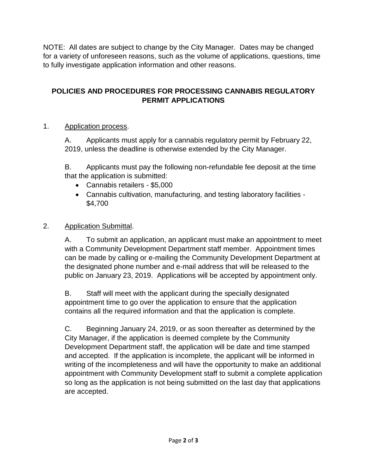NOTE: All dates are subject to change by the City Manager. Dates may be changed for a variety of unforeseen reasons, such as the volume of applications, questions, time to fully investigate application information and other reasons.

## **POLICIES AND PROCEDURES FOR PROCESSING CANNABIS REGULATORY PERMIT APPLICATIONS**

#### 1. Application process.

A. Applicants must apply for a cannabis regulatory permit by February 22, 2019, unless the deadline is otherwise extended by the City Manager.

B. Applicants must pay the following non-refundable fee deposit at the time that the application is submitted:

- Cannabis retailers \$5,000
- Cannabis cultivation, manufacturing, and testing laboratory facilities \$4,700

#### 2. Application Submittal.

A. To submit an application, an applicant must make an appointment to meet with a Community Development Department staff member. Appointment times can be made by calling or e-mailing the Community Development Department at the designated phone number and e-mail address that will be released to the public on January 23, 2019. Applications will be accepted by appointment only.

B. Staff will meet with the applicant during the specially designated appointment time to go over the application to ensure that the application contains all the required information and that the application is complete.

C. Beginning January 24, 2019, or as soon thereafter as determined by the City Manager, if the application is deemed complete by the Community Development Department staff, the application will be date and time stamped and accepted. If the application is incomplete, the applicant will be informed in writing of the incompleteness and will have the opportunity to make an additional appointment with Community Development staff to submit a complete application so long as the application is not being submitted on the last day that applications are accepted.